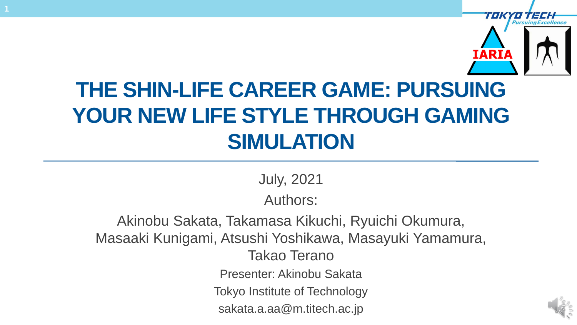

## **THE SHIN-LIFE CAREER GAME: PURSUING YOUR NEW LIFE STYLE THROUGH GAMING SIMULATION**

July, 2021

Authors:

Akinobu Sakata, Takamasa Kikuchi, Ryuichi Okumura, Masaaki Kunigami, Atsushi Yoshikawa, Masayuki Yamamura, Takao Terano Presenter: Akinobu Sakata Tokyo Institute of Technology sakata.a.aa@m.titech.ac.jp

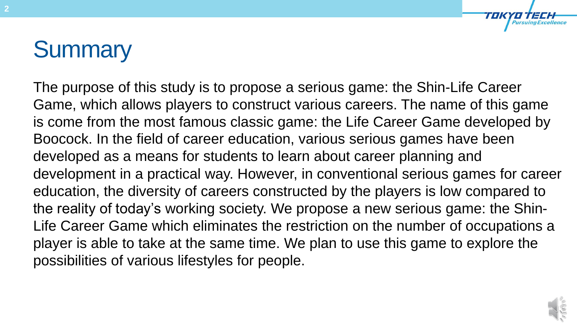# **Summary**

The purpose of this study is to propose a serious game: the Shin-Life Career Game, which allows players to construct various careers. The name of this game is come from the most famous classic game: the Life Career Game developed by Boocock. In the field of career education, various serious games have been developed as a means for students to learn about career planning and development in a practical way. However, in conventional serious games for career education, the diversity of careers constructed by the players is low compared to the reality of today's working society. We propose a new serious game: the Shin-Life Career Game which eliminates the restriction on the number of occupations a player is able to take at the same time. We plan to use this game to explore the possibilities of various lifestyles for people.

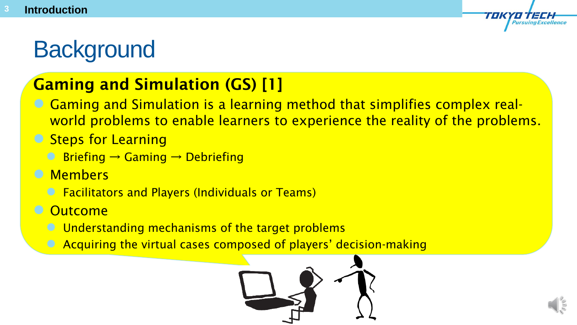# **Background**

## Gaming and Simulation (GS) [1]

- Gaming and Simulation is a learning method that simplifies complex realworld problems to enable learners to experience the reality of the problems.
- **Steps for Learning** 
	- Briefing  $\rightarrow$  Gaming  $\rightarrow$  Debriefing
- **C** Members
	- **C** Facilitators and Players (Individuals or Teams)
- **Outcome** 
	- Understanding mechanisms of the target problems
	- Acquiring the virtual cases composed of players' decision-making

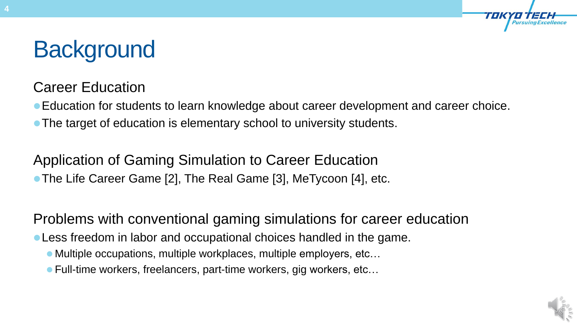# **Background**

#### Career Education

Education for students to learn knowledge about career development and career choice.

• The target of education is elementary school to university students.

Application of Gaming Simulation to Career Education The Life Career Game [2], The Real Game [3], MeTycoon [4], etc.

Problems with conventional gaming simulations for career education

Less freedom in labor and occupational choices handled in the game.

- Multiple occupations, multiple workplaces, multiple employers, etc...
- Full-time workers, freelancers, part-time workers, gig workers, etc...

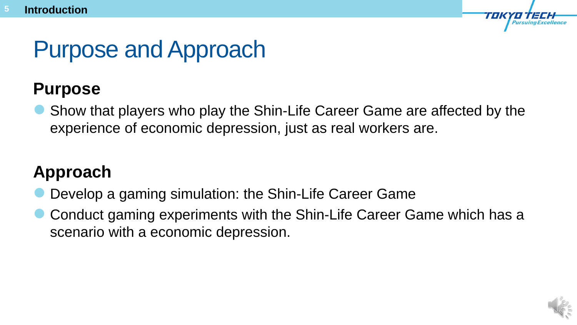# Purpose and Approach

## **Purpose**

 Show that players who play the Shin-Life Career Game are affected by the experience of economic depression, just as real workers are.

## **Approach**

- Develop a gaming simulation: the Shin-Life Career Game
- Conduct gaming experiments with the Shin-Life Career Game which has a scenario with a economic depression.

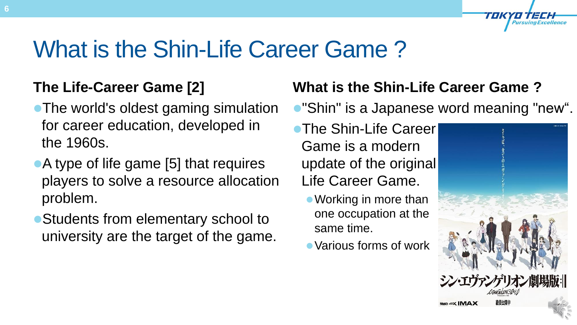# What is the Shin-Life Career Game ?

## **The Life-Career Game [2]**

- The world's oldest gaming simulation for career education, developed in the 1960s.
- A type of life game [5] that requires players to solve a resource allocation problem.
- Students from elementary school to university are the target of the game.

## **What is the Shin-Life Career Game ?**

- "Shin" is a Japanese word meaning "new".
- **The Shin-Life Career** Game is a modern update of the original Life Career Game.
	- Working in more than one occupation at the same time.
	- Various forms of work

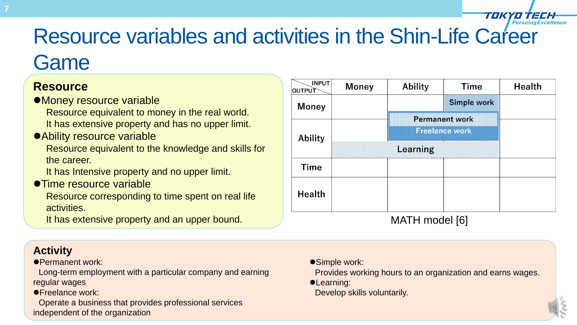# Resource variables and activities in the Shin-Life Career

## **Game**

#### **Resource**

- Money resource variable
	- Resource equivalent to money in the real world. It has extensive property and has no upper limit.
- Ability resource variable
	- Resource equivalent to the knowledge and skills for the career.
	- It has Intensive property and no upper limit.
- **Time resource variable** 
	- Resource corresponding to time spent on real life activities.
	- It has extensive property and an upper bound. The same many model  $[6]$

| <b>INPUT</b><br>OUTPUT | <b>Money</b> | <b>Ability</b>        | <b>Time</b> | <b>Health</b> |
|------------------------|--------------|-----------------------|-------------|---------------|
| <b>Money</b>           |              |                       | Simple work |               |
|                        |              | <b>Permanent work</b> |             |               |
| <b>Ability</b>         |              | <b>Freelance work</b> |             |               |
|                        |              | Learning              |             |               |
| <b>Time</b>            |              |                       |             |               |
| <b>Health</b>          |              |                       |             |               |
|                        |              | ⋀⋀⋀⊤凵                 | modol [6]   |               |

- **Activity**
- Permanent work:
- Long-term employment with a particular company and earning regular wages
- **Freelance work:**
- Operate a business that provides professional services independent of the organization
- Simple work:
	- Provides working hours to an organization and earns wages.
- **•Learning:**
- Develop skills voluntarily.

**OFTECH** 

TOK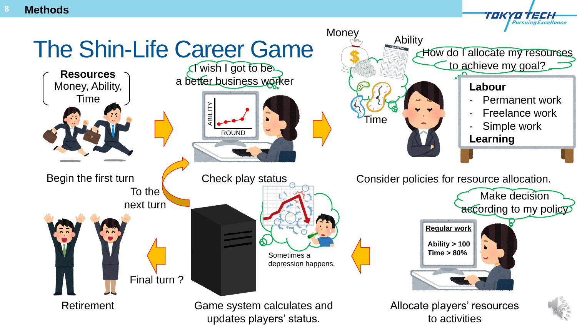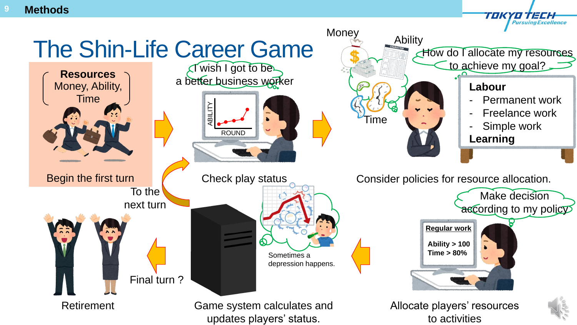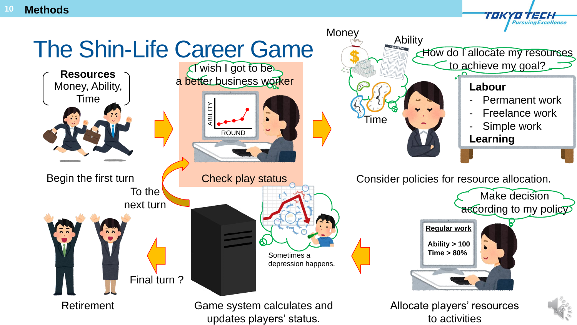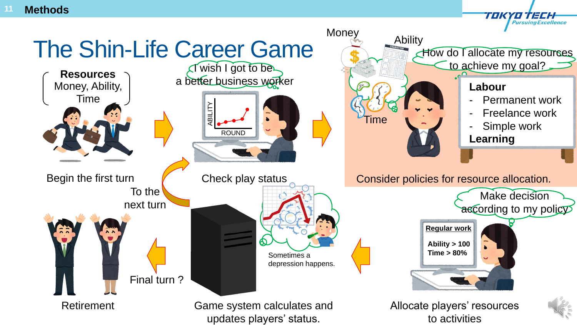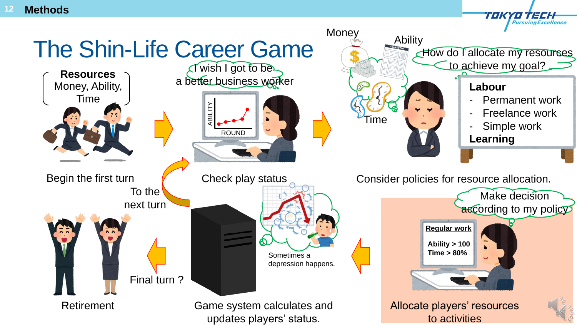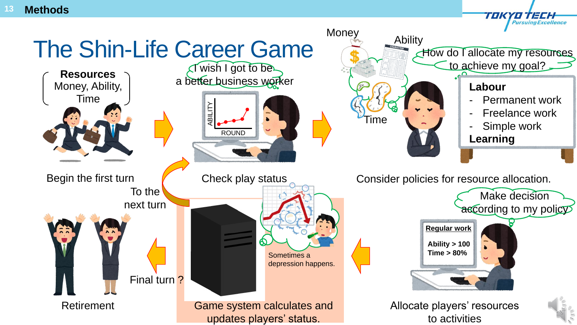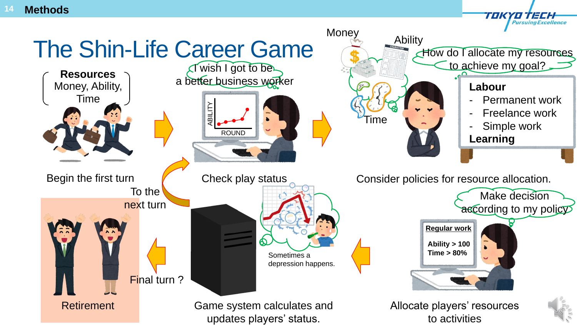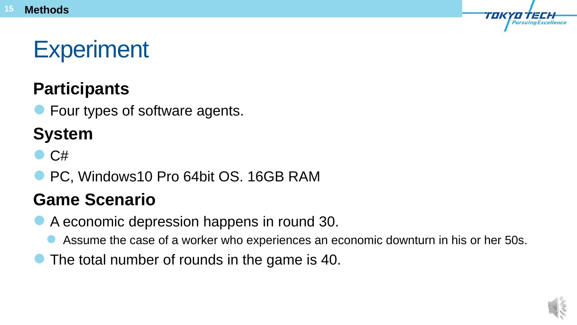# **Experiment**

## **Participants**

**• Four types of software agents.** 

## **System**

- $\bullet$  C#
- PC, Windows10 Pro 64bit OS. 16GB RAM

## **Game Scenario**

- A economic depression happens in round 30.
	- Assume the case of a worker who experiences an economic downturn in his or her 50s.
- The total number of rounds in the game is 40.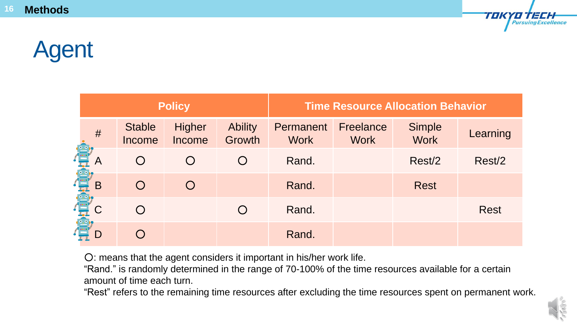

# Agent

| <b>Policy</b> |                         |                         | <b>Time Resource Allocation Behavior</b> |                          |                          |                       |             |
|---------------|-------------------------|-------------------------|------------------------------------------|--------------------------|--------------------------|-----------------------|-------------|
| #             | <b>Stable</b><br>Income | <b>Higher</b><br>Income | <b>Ability</b><br>Growth                 | Permanent<br><b>Work</b> | Freelance<br><b>Work</b> | Simple<br><b>Work</b> | Learning    |
|               |                         | $\bigcap$               | $\bigcirc$                               | Rand.                    |                          | Rest/2                | Rest/2      |
| B<br>最        |                         | $\bigcap$               |                                          | Rand.                    |                          | <b>Rest</b>           |             |
| 最             |                         |                         | ( )                                      | Rand.                    |                          |                       | <b>Rest</b> |
|               |                         |                         |                                          | Rand.                    |                          |                       |             |

○: means that the agent considers it important in his/her work life.

"Rand." is randomly determined in the range of 70-100% of the time resources available for a certain amount of time each turn.

"Rest" refers to the remaining time resources after excluding the time resources spent on permanent work.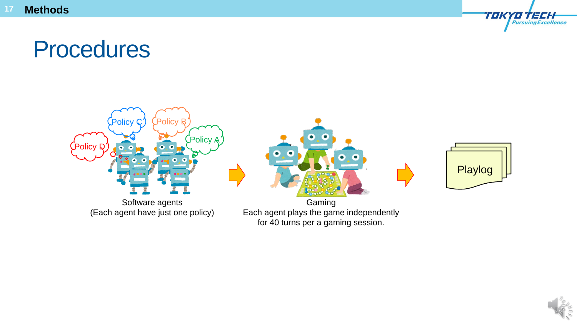## Procedures



Software agents (Each agent have just one policy)

Gaming Each agent plays the game independently for 40 turns per a gaming session.



TOKYO TECH

**Pursuing Excellence** 

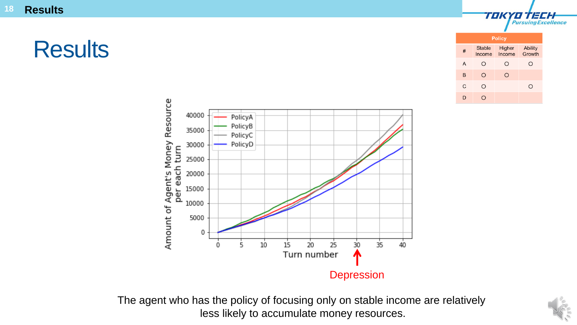## **Results**

| <b>Policy</b> |                         |                  |                          |  |  |  |
|---------------|-------------------------|------------------|--------------------------|--|--|--|
| #             | <b>Stable</b><br>Income | Higher<br>Income | <b>Ability</b><br>Growth |  |  |  |
| A             | O                       | O                | ( )                      |  |  |  |
| B             | O                       | O                |                          |  |  |  |
| C             | Ω                       |                  | J.                       |  |  |  |
|               |                         |                  |                          |  |  |  |

TOK

YO TECH **Pursuing Excellence** 



The agent who has the policy of focusing only on stable income are relatively less likely to accumulate money resources.

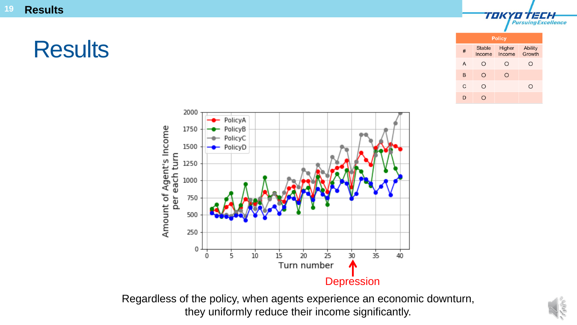**19 Results**

## **Results**

| <b>Policy</b>  |                         |                  |                          |  |  |
|----------------|-------------------------|------------------|--------------------------|--|--|
| #              | <b>Stable</b><br>Income | Higher<br>Income | <b>Ability</b><br>Growth |  |  |
| $\overline{A}$ | ⊇                       | O                | ◯                        |  |  |
| B              | Ω                       | Ω                |                          |  |  |
| C              | ∩                       |                  |                          |  |  |
| D              |                         |                  |                          |  |  |

TOK

'O'TECH

**Pursuing Excellence** 



Regardless of the policy, when agents experience an economic downturn, they uniformly reduce their income significantly.

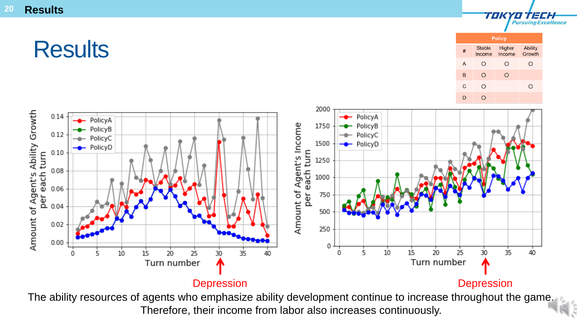## **Results**

| <b>Policy</b> |                         |                  |                          |  |  |
|---------------|-------------------------|------------------|--------------------------|--|--|
| #             | <b>Stable</b><br>Income | Higher<br>Income | <b>Ability</b><br>Growth |  |  |
| A             | ⊇                       | O                | . )                      |  |  |
| B             | ∩                       | ∍                |                          |  |  |
| C             | ีว                      |                  |                          |  |  |
|               |                         |                  |                          |  |  |

TOK

YO TECH

**Pursuing Excellence** 



The ability resources of agents who emphasize ability development continue to increase throughout the game. Therefore, their income from labor also increases continuously.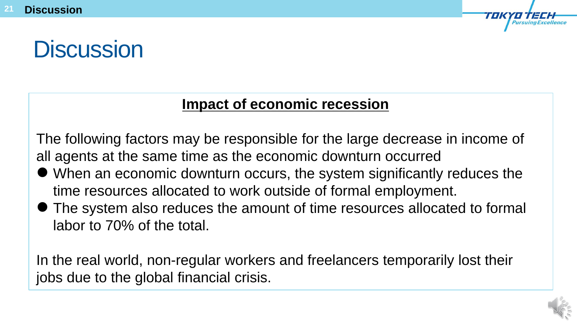## **Discussion**

#### **Impact of economic recession**

The following factors may be responsible for the large decrease in income of all agents at the same time as the economic downturn occurred

- When an economic downturn occurs, the system significantly reduces the time resources allocated to work outside of formal employment.
- The system also reduces the amount of time resources allocated to formal labor to 70% of the total.

In the real world, non-regular workers and freelancers temporarily lost their jobs due to the global financial crisis.

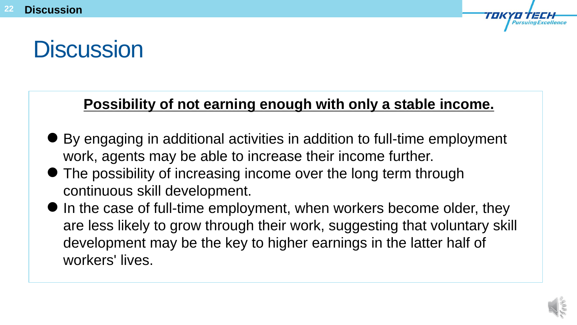# **Discussion**

### **Possibility of not earning enough with only a stable income.**

- By engaging in additional activities in addition to full-time employment work, agents may be able to increase their income further.
- The possibility of increasing income over the long term through continuous skill development.
- $\bullet$  In the case of full-time employment, when workers become older, they are less likely to grow through their work, suggesting that voluntary skill development may be the key to higher earnings in the latter half of workers' lives.

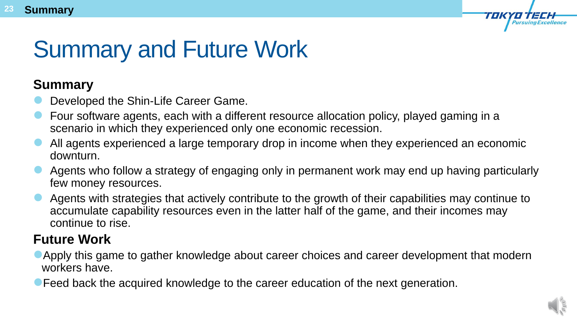

# Summary and Future Work

#### **Summary**

- Developed the Shin-Life Career Game.
- Four software agents, each with a different resource allocation policy, played gaming in a scenario in which they experienced only one economic recession.
- All agents experienced a large temporary drop in income when they experienced an economic downturn.
- Agents who follow a strategy of engaging only in permanent work may end up having particularly few money resources.
- Agents with strategies that actively contribute to the growth of their capabilities may continue to accumulate capability resources even in the latter half of the game, and their incomes may continue to rise.

#### **Future Work**

- Apply this game to gather knowledge about career choices and career development that modern workers have.
- **Feed back the acquired knowledge to the career education of the next generation.**